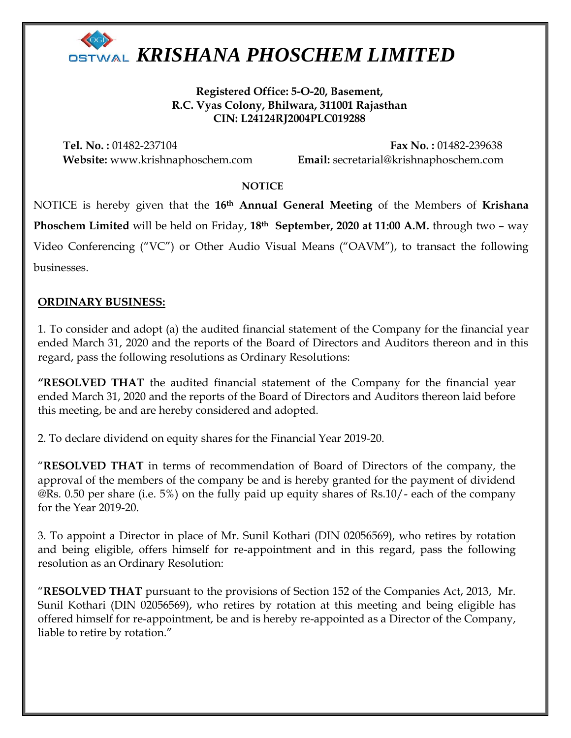

**Registered Office: 5-O-20, Basement, R.C. Vyas Colony, Bhilwara, 311001 Rajasthan CIN: L24124RJ2004PLC019288**

**Tel. No. :** 01482-237104 **Fax No. :** 01482-239638 **Website:** www.krishnaphoschem.com **Email:** secretarial@krishnaphoschem.com

#### **NOTICE**

NOTICE is hereby given that the **16th Annual General Meeting** of the Members of **Krishana Phoschem Limited** will be held on Friday, **18th September, 2020 at 11:00 A.M.** through two – way Video Conferencing ("VC") or Other Audio Visual Means ("OAVM"), to transact the following businesses.

### **ORDINARY BUSINESS:**

1. To consider and adopt (a) the audited financial statement of the Company for the financial year ended March 31, 2020 and the reports of the Board of Directors and Auditors thereon and in this regard, pass the following resolutions as Ordinary Resolutions:

**"RESOLVED THAT** the audited financial statement of the Company for the financial year ended March 31, 2020 and the reports of the Board of Directors and Auditors thereon laid before this meeting, be and are hereby considered and adopted.

2. To declare dividend on equity shares for the Financial Year 2019-20.

"**RESOLVED THAT** in terms of recommendation of Board of Directors of the company, the approval of the members of the company be and is hereby granted for the payment of dividend @Rs. 0.50 per share (i.e. 5%) on the fully paid up equity shares of Rs.10/- each of the company for the Year 2019-20.

3. To appoint a Director in place of Mr. Sunil Kothari (DIN 02056569), who retires by rotation and being eligible, offers himself for re-appointment and in this regard, pass the following resolution as an Ordinary Resolution:

"**RESOLVED THAT** pursuant to the provisions of Section 152 of the Companies Act, 2013, Mr. Sunil Kothari (DIN 02056569), who retires by rotation at this meeting and being eligible has offered himself for re-appointment, be and is hereby re-appointed as a Director of the Company, liable to retire by rotation."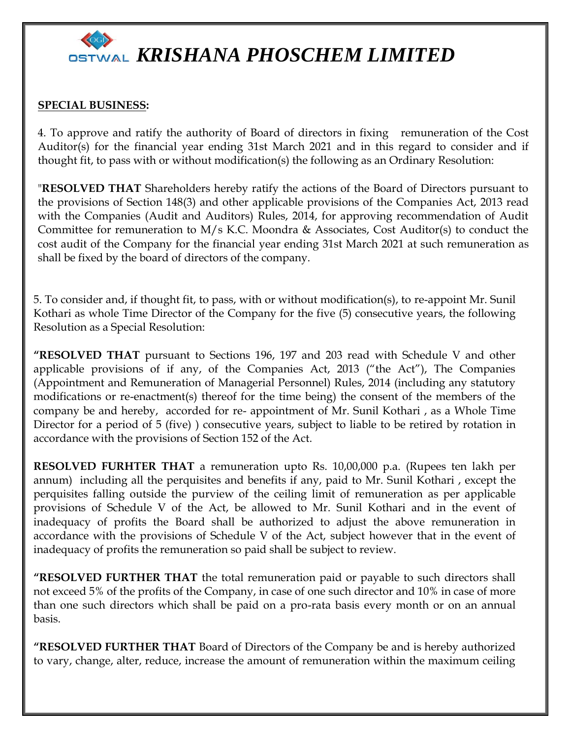

#### **SPECIAL BUSINESS:**

4. To approve and ratify the authority of Board of directors in fixing remuneration of the Cost Auditor(s) for the financial year ending 31st March 2021 and in this regard to consider and if thought fit, to pass with or without modification(s) the following as an Ordinary Resolution:

"**RESOLVED THAT** Shareholders hereby ratify the actions of the Board of Directors pursuant to the provisions of Section 148(3) and other applicable provisions of the Companies Act, 2013 read with the Companies (Audit and Auditors) Rules, 2014, for approving recommendation of Audit Committee for remuneration to  $M/s$  K.C. Moondra & Associates, Cost Auditor(s) to conduct the cost audit of the Company for the financial year ending 31st March 2021 at such remuneration as shall be fixed by the board of directors of the company.

5. To consider and, if thought fit, to pass, with or without modification(s), to re-appoint Mr. Sunil Kothari as whole Time Director of the Company for the five (5) consecutive years, the following Resolution as a Special Resolution:

**"RESOLVED THAT** pursuant to Sections 196, 197 and 203 read with Schedule V and other applicable provisions of if any, of the Companies Act, 2013 ("the Act"), The Companies (Appointment and Remuneration of Managerial Personnel) Rules, 2014 (including any statutory modifications or re-enactment(s) thereof for the time being) the consent of the members of the company be and hereby, accorded for re- appointment of Mr. Sunil Kothari , as a Whole Time Director for a period of 5 (five) ) consecutive years, subject to liable to be retired by rotation in accordance with the provisions of Section 152 of the Act.

**RESOLVED FURHTER THAT** a remuneration upto Rs. 10,00,000 p.a. (Rupees ten lakh per annum) including all the perquisites and benefits if any, paid to Mr. Sunil Kothari , except the perquisites falling outside the purview of the ceiling limit of remuneration as per applicable provisions of Schedule V of the Act, be allowed to Mr. Sunil Kothari and in the event of inadequacy of profits the Board shall be authorized to adjust the above remuneration in accordance with the provisions of Schedule V of the Act, subject however that in the event of inadequacy of profits the remuneration so paid shall be subject to review.

**"RESOLVED FURTHER THAT** the total remuneration paid or payable to such directors shall not exceed 5% of the profits of the Company, in case of one such director and 10% in case of more than one such directors which shall be paid on a pro-rata basis every month or on an annual basis.

**"RESOLVED FURTHER THAT** Board of Directors of the Company be and is hereby authorized to vary, change, alter, reduce, increase the amount of remuneration within the maximum ceiling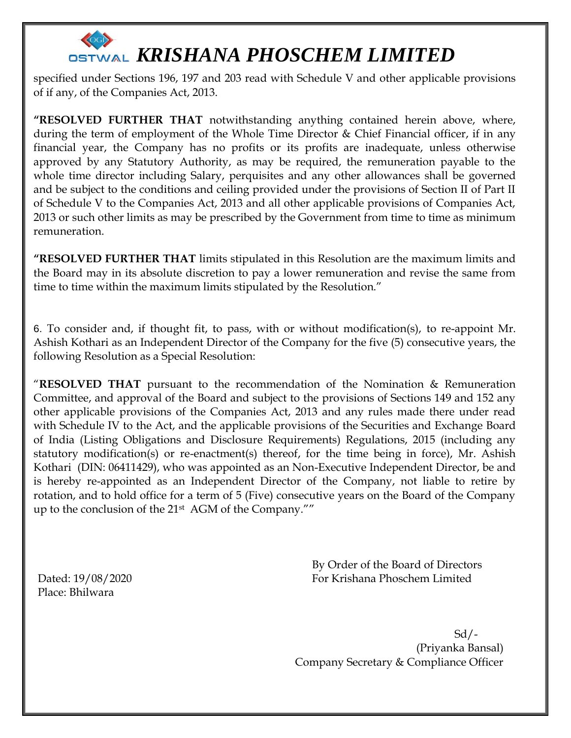specified under Sections 196, 197 and 203 read with Schedule V and other applicable provisions of if any, of the Companies Act, 2013.

**"RESOLVED FURTHER THAT** notwithstanding anything contained herein above, where, during the term of employment of the Whole Time Director & Chief Financial officer, if in any financial year, the Company has no profits or its profits are inadequate, unless otherwise approved by any Statutory Authority, as may be required, the remuneration payable to the whole time director including Salary, perquisites and any other allowances shall be governed and be subject to the conditions and ceiling provided under the provisions of Section II of Part II of Schedule V to the Companies Act, 2013 and all other applicable provisions of Companies Act, 2013 or such other limits as may be prescribed by the Government from time to time as minimum remuneration.

**"RESOLVED FURTHER THAT** limits stipulated in this Resolution are the maximum limits and the Board may in its absolute discretion to pay a lower remuneration and revise the same from time to time within the maximum limits stipulated by the Resolution."

6. To consider and, if thought fit, to pass, with or without modification(s), to re-appoint Mr. Ashish Kothari as an Independent Director of the Company for the five (5) consecutive years, the following Resolution as a Special Resolution:

"**RESOLVED THAT** pursuant to the recommendation of the Nomination & Remuneration Committee, and approval of the Board and subject to the provisions of Sections 149 and 152 any other applicable provisions of the Companies Act, 2013 and any rules made there under read with Schedule IV to the Act, and the applicable provisions of the Securities and Exchange Board of India (Listing Obligations and Disclosure Requirements) Regulations, 2015 (including any statutory modification(s) or re-enactment(s) thereof, for the time being in force), Mr. Ashish Kothari (DIN: 06411429), who was appointed as an Non-Executive Independent Director, be and is hereby re-appointed as an Independent Director of the Company, not liable to retire by rotation, and to hold office for a term of 5 (Five) consecutive years on the Board of the Company up to the conclusion of the 21st AGM of the Company.""

Place: Bhilwara

 By Order of the Board of Directors Dated: 19/08/2020 For Krishana Phoschem Limited

 Sd/- (Priyanka Bansal) Company Secretary & Compliance Officer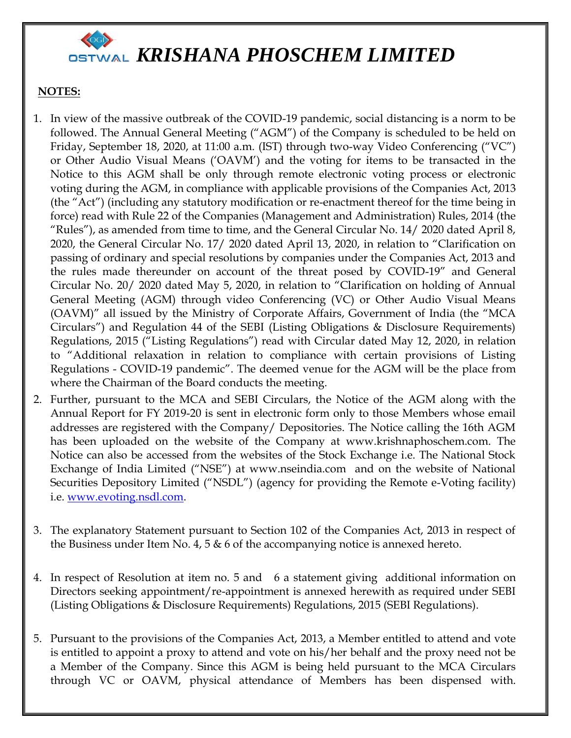### **NOTES:**

- 1. In view of the massive outbreak of the COVID-19 pandemic, social distancing is a norm to be followed. The Annual General Meeting ("AGM") of the Company is scheduled to be held on Friday, September 18, 2020, at 11:00 a.m. (IST) through two-way Video Conferencing ("VC") or Other Audio Visual Means ('OAVM') and the voting for items to be transacted in the Notice to this AGM shall be only through remote electronic voting process or electronic voting during the AGM, in compliance with applicable provisions of the Companies Act, 2013 (the "Act") (including any statutory modification or re-enactment thereof for the time being in force) read with Rule 22 of the Companies (Management and Administration) Rules, 2014 (the "Rules"), as amended from time to time, and the General Circular No. 14/ 2020 dated April 8, 2020, the General Circular No. 17/ 2020 dated April 13, 2020, in relation to "Clarification on passing of ordinary and special resolutions by companies under the Companies Act, 2013 and the rules made thereunder on account of the threat posed by COVID-19" and General Circular No. 20/ 2020 dated May 5, 2020, in relation to "Clarification on holding of Annual General Meeting (AGM) through video Conferencing (VC) or Other Audio Visual Means (OAVM)" all issued by the Ministry of Corporate Affairs, Government of India (the "MCA Circulars") and Regulation 44 of the SEBI (Listing Obligations & Disclosure Requirements) Regulations, 2015 ("Listing Regulations") read with Circular dated May 12, 2020, in relation to "Additional relaxation in relation to compliance with certain provisions of Listing Regulations - COVID-19 pandemic". The deemed venue for the AGM will be the place from where the Chairman of the Board conducts the meeting.
- 2. Further, pursuant to the MCA and SEBI Circulars, the Notice of the AGM along with the Annual Report for FY 2019-20 is sent in electronic form only to those Members whose email addresses are registered with the Company/ Depositories. The Notice calling the 16th AGM has been uploaded on the website of the Company at www.krishnaphoschem.com. The Notice can also be accessed from the websites of the Stock Exchange i.e. The National Stock Exchange of India Limited ("NSE") at www.nseindia.com and on the website of National Securities Depository Limited ("NSDL") (agency for providing the Remote e-Voting facility) i.e. [www.evoting.nsdl.com.](http://www.evoting.nsdl.com/)
- 3. The explanatory Statement pursuant to Section 102 of the Companies Act, 2013 in respect of the Business under Item No. 4, 5  $\&$  6 of the accompanying notice is annexed hereto.
- 4. In respect of Resolution at item no. 5 and 6 a statement giving additional information on Directors seeking appointment/re-appointment is annexed herewith as required under SEBI (Listing Obligations & Disclosure Requirements) Regulations, 2015 (SEBI Regulations).
- 5. Pursuant to the provisions of the Companies Act, 2013, a Member entitled to attend and vote is entitled to appoint a proxy to attend and vote on his/her behalf and the proxy need not be a Member of the Company. Since this AGM is being held pursuant to the MCA Circulars through VC or OAVM, physical attendance of Members has been dispensed with.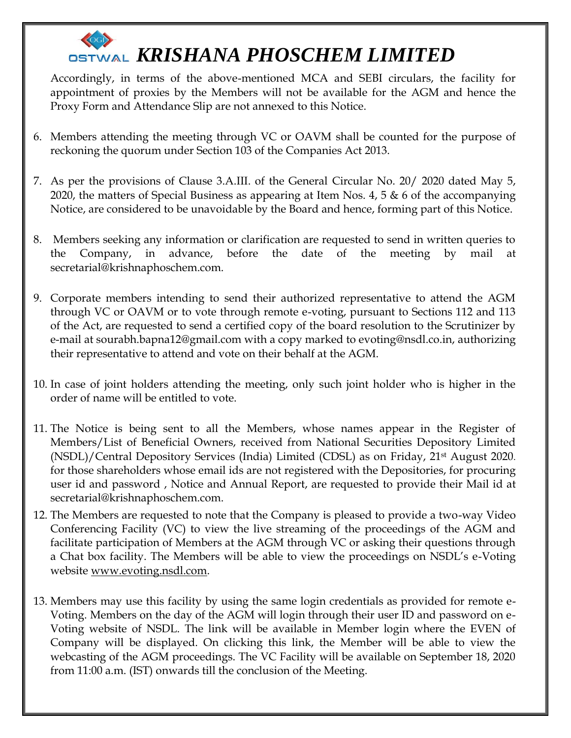Accordingly, in terms of the above-mentioned MCA and SEBI circulars, the facility for appointment of proxies by the Members will not be available for the AGM and hence the Proxy Form and Attendance Slip are not annexed to this Notice.

- 6. Members attending the meeting through VC or OAVM shall be counted for the purpose of reckoning the quorum under Section 103 of the Companies Act 2013.
- 7. As per the provisions of Clause 3.A.III. of the General Circular No. 20/ 2020 dated May 5, 2020, the matters of Special Business as appearing at Item Nos. 4, 5  $\&$  6 of the accompanying Notice, are considered to be unavoidable by the Board and hence, forming part of this Notice.
- 8. Members seeking any information or clarification are requested to send in written queries to the Company, in advance, before the date of the meeting by mail at secretarial@krishnaphoschem.com.
- 9. Corporate members intending to send their authorized representative to attend the AGM through VC or OAVM or to vote through remote e-voting, pursuant to Sections 112 and 113 of the Act, are requested to send a certified copy of the board resolution to the Scrutinizer by e-mail at sourabh.bapna12@gmail.com with a copy marked to evoting@nsdl.co.in, authorizing their representative to attend and vote on their behalf at the AGM.
- 10. In case of joint holders attending the meeting, only such joint holder who is higher in the order of name will be entitled to vote.
- 11. The Notice is being sent to all the Members, whose names appear in the Register of Members/List of Beneficial Owners, received from National Securities Depository Limited (NSDL)/Central Depository Services (India) Limited (CDSL) as on Friday, 21st August 2020. for those shareholders whose email ids are not registered with the Depositories, for procuring user id and password , Notice and Annual Report, are requested to provide their Mail id at secretarial@krishnaphoschem.com.
- 12. The Members are requested to note that the Company is pleased to provide a two-way Video Conferencing Facility (VC) to view the live streaming of the proceedings of the AGM and facilitate participation of Members at the AGM through VC or asking their questions through a Chat box facility. The Members will be able to view the proceedings on NSDL's e-Voting website [www.evoting.nsdl.com.](http://www.evoting.nsdl.com/)
- 13. Members may use this facility by using the same login credentials as provided for remote e-Voting. Members on the day of the AGM will login through their user ID and password on e-Voting website of NSDL. The link will be available in Member login where the EVEN of Company will be displayed. On clicking this link, the Member will be able to view the webcasting of the AGM proceedings. The VC Facility will be available on September 18, 2020 from 11:00 a.m. (IST) onwards till the conclusion of the Meeting.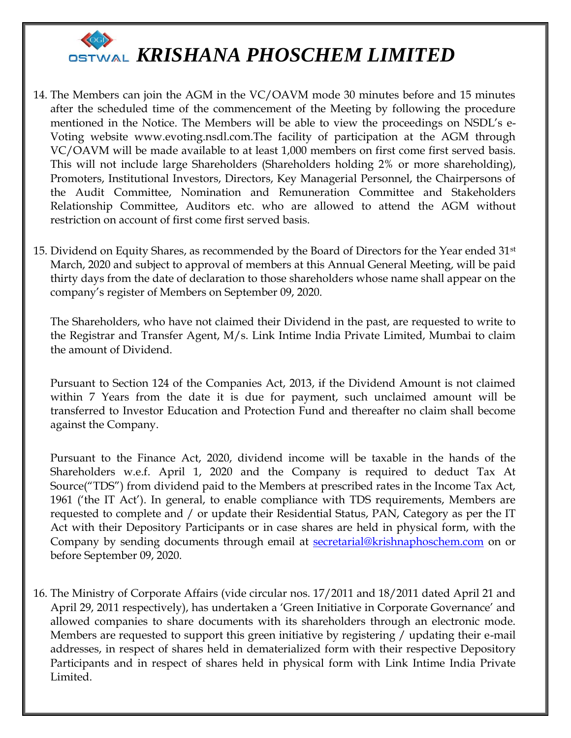

- 14. The Members can join the AGM in the VC/OAVM mode 30 minutes before and 15 minutes after the scheduled time of the commencement of the Meeting by following the procedure mentioned in the Notice. The Members will be able to view the proceedings on NSDL's e-Voting website www.evoting.nsdl.com.The facility of participation at the AGM through VC/OAVM will be made available to at least 1,000 members on first come first served basis. This will not include large Shareholders (Shareholders holding 2% or more shareholding), Promoters, Institutional Investors, Directors, Key Managerial Personnel, the Chairpersons of the Audit Committee, Nomination and Remuneration Committee and Stakeholders Relationship Committee, Auditors etc. who are allowed to attend the AGM without restriction on account of first come first served basis.
- 15. Dividend on Equity Shares, as recommended by the Board of Directors for the Year ended 31st March, 2020 and subject to approval of members at this Annual General Meeting, will be paid thirty days from the date of declaration to those shareholders whose name shall appear on the company's register of Members on September 09, 2020.

The Shareholders, who have not claimed their Dividend in the past, are requested to write to the Registrar and Transfer Agent, M/s. Link Intime India Private Limited, Mumbai to claim the amount of Dividend.

Pursuant to Section 124 of the Companies Act, 2013, if the Dividend Amount is not claimed within 7 Years from the date it is due for payment, such unclaimed amount will be transferred to Investor Education and Protection Fund and thereafter no claim shall become against the Company.

Pursuant to the Finance Act, 2020, dividend income will be taxable in the hands of the Shareholders w.e.f. April 1, 2020 and the Company is required to deduct Tax At Source("TDS") from dividend paid to the Members at prescribed rates in the Income Tax Act, 1961 ('the IT Act'). In general, to enable compliance with TDS requirements, Members are requested to complete and / or update their Residential Status, PAN, Category as per the IT Act with their Depository Participants or in case shares are held in physical form, with the Company by sending documents through email at **secretarial@krishnaphoschem.com** on or before September 09, 2020.

16. The Ministry of Corporate Affairs (vide circular nos. 17/2011 and 18/2011 dated April 21 and April 29, 2011 respectively), has undertaken a 'Green Initiative in Corporate Governance' and allowed companies to share documents with its shareholders through an electronic mode. Members are requested to support this green initiative by registering / updating their e-mail addresses, in respect of shares held in dematerialized form with their respective Depository Participants and in respect of shares held in physical form with Link Intime India Private Limited.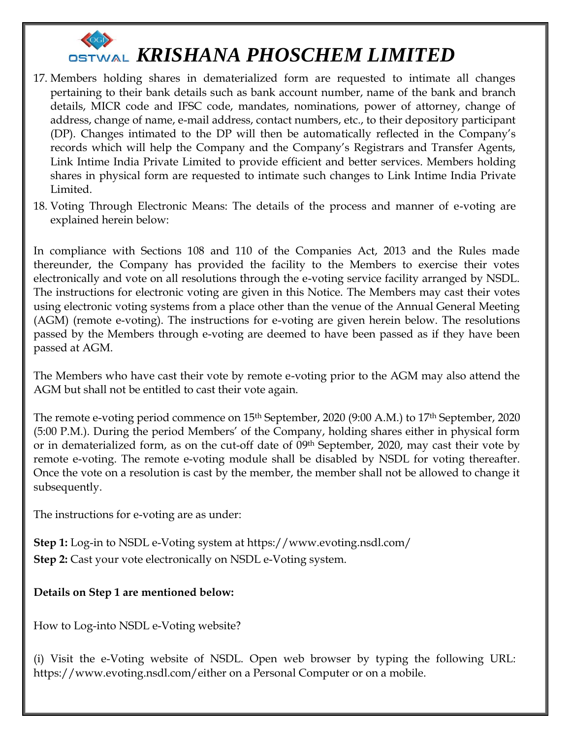

- 17. Members holding shares in dematerialized form are requested to intimate all changes pertaining to their bank details such as bank account number, name of the bank and branch details, MICR code and IFSC code, mandates, nominations, power of attorney, change of address, change of name, e-mail address, contact numbers, etc., to their depository participant (DP). Changes intimated to the DP will then be automatically reflected in the Company's records which will help the Company and the Company's Registrars and Transfer Agents, Link Intime India Private Limited to provide efficient and better services. Members holding shares in physical form are requested to intimate such changes to Link Intime India Private Limited.
- 18. Voting Through Electronic Means: The details of the process and manner of e-voting are explained herein below:

In compliance with Sections 108 and 110 of the Companies Act, 2013 and the Rules made thereunder, the Company has provided the facility to the Members to exercise their votes electronically and vote on all resolutions through the e-voting service facility arranged by NSDL. The instructions for electronic voting are given in this Notice. The Members may cast their votes using electronic voting systems from a place other than the venue of the Annual General Meeting (AGM) (remote e-voting). The instructions for e-voting are given herein below. The resolutions passed by the Members through e-voting are deemed to have been passed as if they have been passed at AGM.

The Members who have cast their vote by remote e-voting prior to the AGM may also attend the AGM but shall not be entitled to cast their vote again.

The remote e-voting period commence on 15<sup>th</sup> September, 2020 (9:00 A.M.) to 17<sup>th</sup> September, 2020 (5:00 P.M.). During the period Members' of the Company, holding shares either in physical form or in dematerialized form, as on the cut-off date of 09th September, 2020, may cast their vote by remote e-voting. The remote e-voting module shall be disabled by NSDL for voting thereafter. Once the vote on a resolution is cast by the member, the member shall not be allowed to change it subsequently.

The instructions for e-voting are as under:

**Step 1:** Log-in to NSDL e-Voting system at https://www.evoting.nsdl.com/ **Step 2:** Cast your vote electronically on NSDL e-Voting system.

#### **Details on Step 1 are mentioned below:**

How to Log-into NSDL e-Voting website?

(i) Visit the e-Voting website of NSDL. Open web browser by typing the following URL: https://www.evoting.nsdl.com/either on a Personal Computer or on a mobile.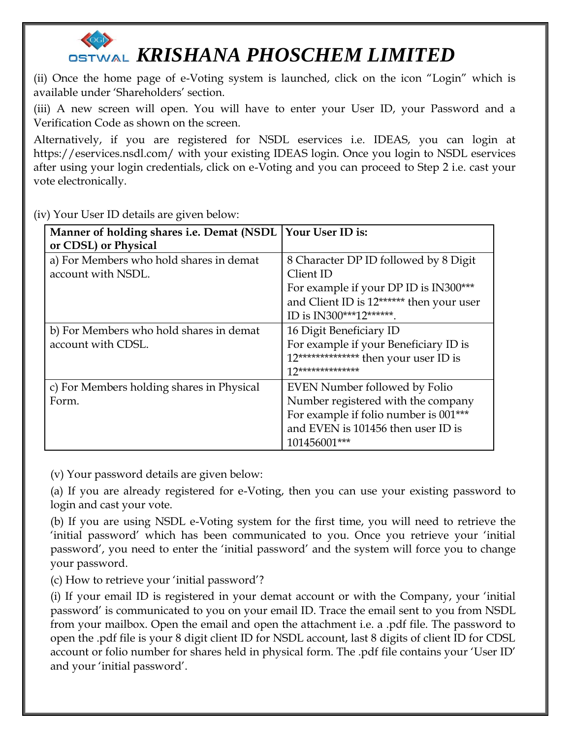(ii) Once the home page of e-Voting system is launched, click on the icon "Login" which is available under 'Shareholders' section.

(iii) A new screen will open. You will have to enter your User ID, your Password and a Verification Code as shown on the screen.

Alternatively, if you are registered for NSDL eservices i.e. IDEAS, you can login at https://eservices.nsdl.com/ with your existing IDEAS login. Once you login to NSDL eservices after using your login credentials, click on e-Voting and you can proceed to Step 2 i.e. cast your vote electronically.

(iv) Your User ID details are given below:

| Manner of holding shares i.e. Demat (NSDL | Your User ID is:                         |
|-------------------------------------------|------------------------------------------|
| or CDSL) or Physical                      |                                          |
| a) For Members who hold shares in demat   | 8 Character DP ID followed by 8 Digit    |
| account with NSDL.                        | Client ID                                |
|                                           | For example if your DP ID is IN300***    |
|                                           | and Client ID is 12****** then your user |
|                                           | ID is IN300***12*******.                 |
| b) For Members who hold shares in demat   | 16 Digit Beneficiary ID                  |
| account with CDSL.                        | For example if your Beneficiary ID is    |
|                                           | 12************** then your user ID is    |
|                                           | $17*******************$                  |
| c) For Members holding shares in Physical | EVEN Number followed by Folio            |
| Form.                                     | Number registered with the company       |
|                                           | For example if folio number is 001***    |
|                                           | and EVEN is 101456 then user ID is       |
|                                           | 101456001***                             |

(v) Your password details are given below:

(a) If you are already registered for e-Voting, then you can use your existing password to login and cast your vote.

(b) If you are using NSDL e-Voting system for the first time, you will need to retrieve the 'initial password' which has been communicated to you. Once you retrieve your 'initial password', you need to enter the 'initial password' and the system will force you to change your password.

(c) How to retrieve your 'initial password'?

(i) If your email ID is registered in your demat account or with the Company, your 'initial password' is communicated to you on your email ID. Trace the email sent to you from NSDL from your mailbox. Open the email and open the attachment i.e. a .pdf file. The password to open the .pdf file is your 8 digit client ID for NSDL account, last 8 digits of client ID for CDSL account or folio number for shares held in physical form. The .pdf file contains your 'User ID' and your 'initial password'.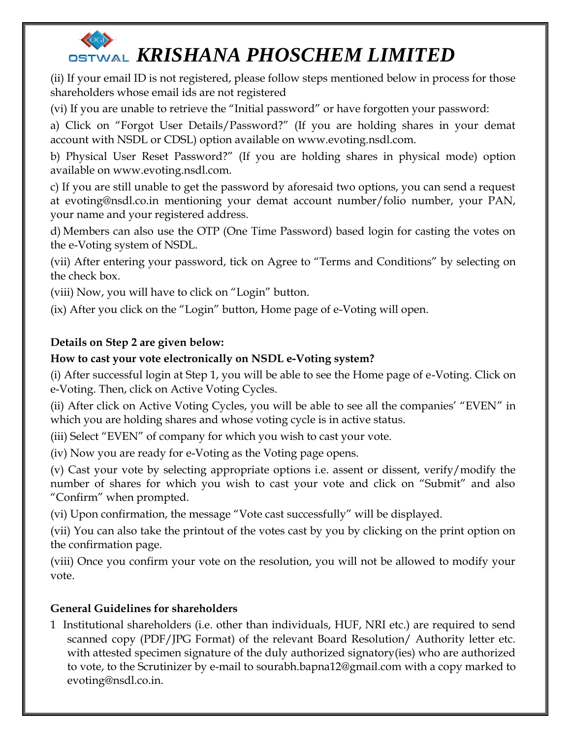(ii) If your email ID is not registered, please follow steps mentioned below in process for those shareholders whose email ids are not registered

(vi) If you are unable to retrieve the "Initial password" or have forgotten your password:

a) Click on "Forgot User Details/Password?" (If you are holding shares in your demat account with NSDL or CDSL) option available on www.evoting.nsdl.com.

b) Physical User Reset Password?" (If you are holding shares in physical mode) option available on www.evoting.nsdl.com.

c) If you are still unable to get the password by aforesaid two options, you can send a request at [evoting@nsdl.co.in](mailto:evoting@nsdl.co.in) mentioning your demat account number/folio number, your PAN, your name and your registered address.

d) Members can also use the OTP (One Time Password) based login for casting the votes on the e-Voting system of NSDL.

(vii) After entering your password, tick on Agree to "Terms and Conditions" by selecting on the check box.

(viii) Now, you will have to click on "Login" button.

(ix) After you click on the "Login" button, Home page of e-Voting will open.

## **Details on Step 2 are given below:**

## **How to cast your vote electronically on NSDL e-Voting system?**

(i) After successful login at Step 1, you will be able to see the Home page of e-Voting. Click on e-Voting. Then, click on Active Voting Cycles.

(ii) After click on Active Voting Cycles, you will be able to see all the companies' "EVEN" in which you are holding shares and whose voting cycle is in active status.

(iii) Select "EVEN" of company for which you wish to cast your vote.

(iv) Now you are ready for e-Voting as the Voting page opens.

(v) Cast your vote by selecting appropriate options i.e. assent or dissent, verify/modify the number of shares for which you wish to cast your vote and click on "Submit" and also "Confirm" when prompted.

(vi) Upon confirmation, the message "Vote cast successfully" will be displayed.

(vii) You can also take the printout of the votes cast by you by clicking on the print option on the confirmation page.

(viii) Once you confirm your vote on the resolution, you will not be allowed to modify your vote.

## **General Guidelines for shareholders**

1 Institutional shareholders (i.e. other than individuals, HUF, NRI etc.) are required to send scanned copy (PDF/JPG Format) of the relevant Board Resolution/ Authority letter etc. with attested specimen signature of the duly authorized signatory(ies) who are authorized to vote, to the Scrutinizer by e-mail to sourabh.bapna12@gmail.com with a copy marked to [evoting@nsdl.co.in.](mailto:evoting@nsdl.co.in)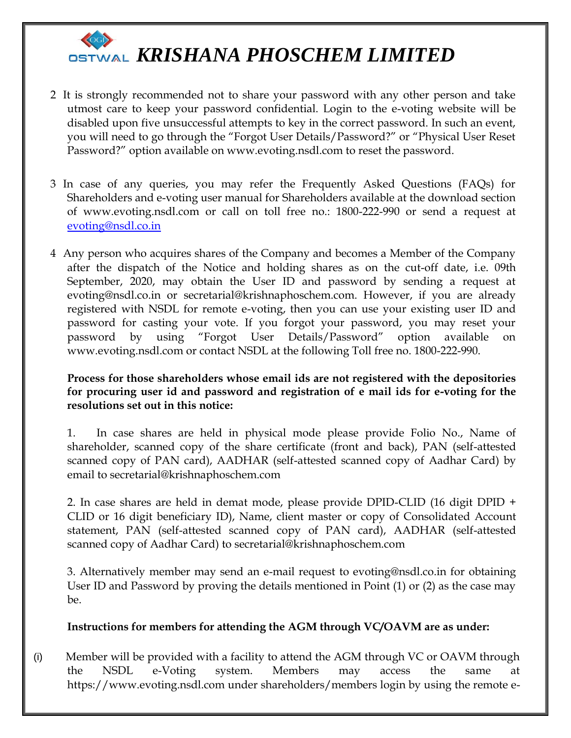

- 2 It is strongly recommended not to share your password with any other person and take utmost care to keep your password confidential. Login to the e-voting website will be disabled upon five unsuccessful attempts to key in the correct password. In such an event, you will need to go through the "Forgot User Details/Password?" or "Physical User Reset Password?" option available on www.evoting.nsdl.com to reset the password.
- 3 In case of any queries, you may refer the Frequently Asked Questions (FAQs) for Shareholders and e-voting user manual for Shareholders available at the download section of www.evoting.nsdl.com or call on toll free no.: 1800-222-990 or send a request at [evoting@nsdl.co.in](mailto:evoting@nsdl.co.in)
- 4 Any person who acquires shares of the Company and becomes a Member of the Company after the dispatch of the Notice and holding shares as on the cut-off date, i.e. 09th September, 2020, may obtain the User ID and password by sending a request at evoting@nsdl.co.in or secretarial@krishnaphoschem.com. However, if you are already registered with NSDL for remote e-voting, then you can use your existing user ID and password for casting your vote. If you forgot your password, you may reset your password by using "Forgot User Details/Password" option available on www.evoting.nsdl.com or contact NSDL at the following Toll free no. 1800-222-990.

#### **Process for those shareholders whose email ids are not registered with the depositories for procuring user id and password and registration of e mail ids for e-voting for the resolutions set out in this notice:**

1. In case shares are held in physical mode please provide Folio No., Name of shareholder, scanned copy of the share certificate (front and back), PAN (self-attested scanned copy of PAN card), AADHAR (self-attested scanned copy of Aadhar Card) by email to secretarial@krishnaphoschem.com

2. In case shares are held in demat mode, please provide DPID-CLID (16 digit DPID + CLID or 16 digit beneficiary ID), Name, client master or copy of Consolidated Account statement, PAN (self-attested scanned copy of PAN card), AADHAR (self-attested scanned copy of Aadhar Card) to secretarial@krishnaphoschem.com

3. Alternatively member may send an e-mail request to evoting@nsdl.co.in for obtaining User ID and Password by proving the details mentioned in Point (1) or (2) as the case may be.

#### **Instructions for members for attending the AGM through VC/OAVM are as under:**

(i) Member will be provided with a facility to attend the AGM through VC or OAVM through the NSDL e-Voting system. Members may access the same at https://www.evoting.nsdl.com under shareholders/members login by using the remote e-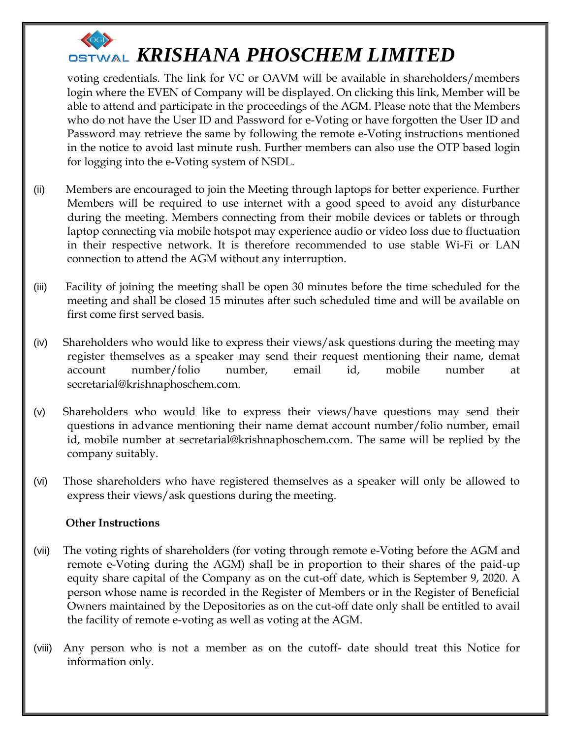voting credentials. The link for VC or OAVM will be available in shareholders/members login where the EVEN of Company will be displayed. On clicking this link, Member will be able to attend and participate in the proceedings of the AGM. Please note that the Members who do not have the User ID and Password for e-Voting or have forgotten the User ID and Password may retrieve the same by following the remote e-Voting instructions mentioned in the notice to avoid last minute rush. Further members can also use the OTP based login for logging into the e-Voting system of NSDL.

- (ii) Members are encouraged to join the Meeting through laptops for better experience. Further Members will be required to use internet with a good speed to avoid any disturbance during the meeting. Members connecting from their mobile devices or tablets or through laptop connecting via mobile hotspot may experience audio or video loss due to fluctuation in their respective network. It is therefore recommended to use stable Wi-Fi or LAN connection to attend the AGM without any interruption.
- (iii) Facility of joining the meeting shall be open 30 minutes before the time scheduled for the meeting and shall be closed 15 minutes after such scheduled time and will be available on first come first served basis.
- (iv) Shareholders who would like to express their views/ask questions during the meeting may register themselves as a speaker may send their request mentioning their name, demat account number/folio number, email id, mobile number at secretarial@krishnaphoschem.com.
- (v) Shareholders who would like to express their views/have questions may send their questions in advance mentioning their name demat account number/folio number, email id, mobile number at secretarial@krishnaphoschem.com. The same will be replied by the company suitably.
- (vi) Those shareholders who have registered themselves as a speaker will only be allowed to express their views/ask questions during the meeting.

## **Other Instructions**

- (vii) The voting rights of shareholders (for voting through remote e-Voting before the AGM and remote e-Voting during the AGM) shall be in proportion to their shares of the paid-up equity share capital of the Company as on the cut-off date, which is September 9, 2020. A person whose name is recorded in the Register of Members or in the Register of Beneficial Owners maintained by the Depositories as on the cut-off date only shall be entitled to avail the facility of remote e-voting as well as voting at the AGM.
- (viii) Any person who is not a member as on the cutoff- date should treat this Notice for information only.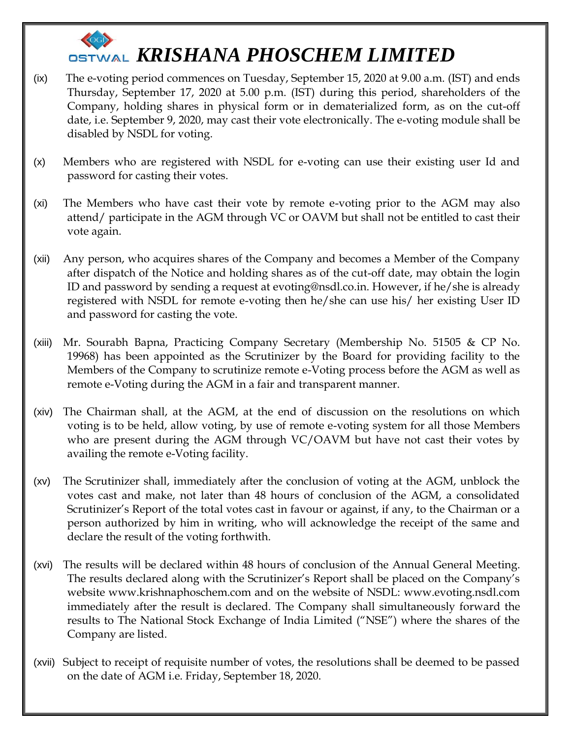- (ix) The e-voting period commences on Tuesday, September 15, 2020 at 9.00 a.m. (IST) and ends Thursday, September 17, 2020 at 5.00 p.m. (IST) during this period, shareholders of the Company, holding shares in physical form or in dematerialized form, as on the cut-off date, i.e. September 9, 2020, may cast their vote electronically. The e-voting module shall be disabled by NSDL for voting.
- (x) Members who are registered with NSDL for e-voting can use their existing user Id and password for casting their votes.
- (xi) The Members who have cast their vote by remote e-voting prior to the AGM may also attend/ participate in the AGM through VC or OAVM but shall not be entitled to cast their vote again.
- (xii) Any person, who acquires shares of the Company and becomes a Member of the Company after dispatch of the Notice and holding shares as of the cut-off date, may obtain the login ID and password by sending a request at evoting@nsdl.co.in. However, if he/she is already registered with NSDL for remote e-voting then he/she can use his/ her existing User ID and password for casting the vote.
- (xiii) Mr. Sourabh Bapna, Practicing Company Secretary (Membership No. 51505 & CP No. 19968) has been appointed as the Scrutinizer by the Board for providing facility to the Members of the Company to scrutinize remote e-Voting process before the AGM as well as remote e-Voting during the AGM in a fair and transparent manner.
- (xiv) The Chairman shall, at the AGM, at the end of discussion on the resolutions on which voting is to be held, allow voting, by use of remote e-voting system for all those Members who are present during the AGM through VC/OAVM but have not cast their votes by availing the remote e-Voting facility.
- (xv) The Scrutinizer shall, immediately after the conclusion of voting at the AGM, unblock the votes cast and make, not later than 48 hours of conclusion of the AGM, a consolidated Scrutinizer's Report of the total votes cast in favour or against, if any, to the Chairman or a person authorized by him in writing, who will acknowledge the receipt of the same and declare the result of the voting forthwith.
- (xvi) The results will be declared within 48 hours of conclusion of the Annual General Meeting. The results declared along with the Scrutinizer's Report shall be placed on the Company's website www.krishnaphoschem.com and on the website of NSDL: www.evoting.nsdl.com immediately after the result is declared. The Company shall simultaneously forward the results to The National Stock Exchange of India Limited ("NSE") where the shares of the Company are listed.
- (xvii) Subject to receipt of requisite number of votes, the resolutions shall be deemed to be passed on the date of AGM i.e. Friday, September 18, 2020.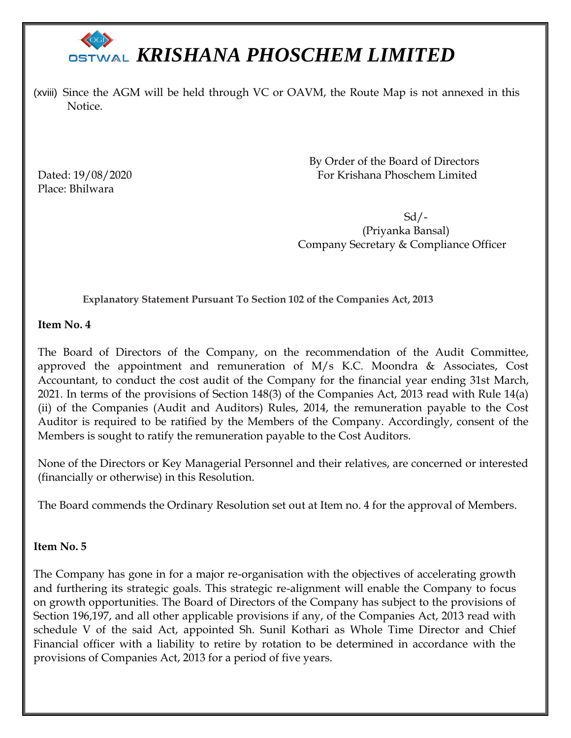(xviii) Since the AGM will be held through VC or OAVM, the Route Map is not annexed in this Notice.

Place: Bhilwara

 By Order of the Board of Directors Dated: 19/08/2020 For Krishana Phoschem Limited

 Sd/- (Priyanka Bansal) Company Secretary & Compliance Officer

**Explanatory Statement Pursuant To Section 102 of the Companies Act, 2013**

**Item No. 4**

The Board of Directors of the Company, on the recommendation of the Audit Committee, approved the appointment and remuneration of M/s K.C. Moondra & Associates, Cost Accountant, to conduct the cost audit of the Company for the financial year ending 31st March, 2021. In terms of the provisions of Section 148(3) of the Companies Act, 2013 read with Rule 14(a) (ii) of the Companies (Audit and Auditors) Rules, 2014, the remuneration payable to the Cost Auditor is required to be ratified by the Members of the Company. Accordingly, consent of the Members is sought to ratify the remuneration payable to the Cost Auditors.

None of the Directors or Key Managerial Personnel and their relatives, are concerned or interested (financially or otherwise) in this Resolution.

The Board commends the Ordinary Resolution set out at Item no. 4 for the approval of Members.

### **Item No. 5**

The Company has gone in for a major re-organisation with the objectives of accelerating growth and furthering its strategic goals. This strategic re-alignment will enable the Company to focus on growth opportunities. The Board of Directors of the Company has subject to the provisions of Section 196,197, and all other applicable provisions if any, of the Companies Act, 2013 read with schedule V of the said Act, appointed Sh. Sunil Kothari as Whole Time Director and Chief Financial officer with a liability to retire by rotation to be determined in accordance with the provisions of Companies Act, 2013 for a period of five years.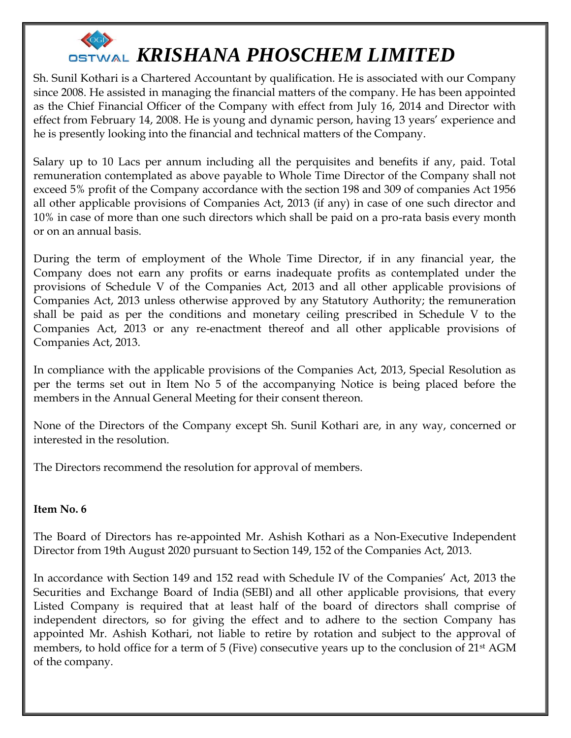

Sh. Sunil Kothari is a Chartered Accountant by qualification. He is associated with our Company since 2008. He assisted in managing the financial matters of the company. He has been appointed as the Chief Financial Officer of the Company with effect from July 16, 2014 and Director with effect from February 14, 2008. He is young and dynamic person, having 13 years' experience and he is presently looking into the financial and technical matters of the Company.

Salary up to 10 Lacs per annum including all the perquisites and benefits if any, paid. Total remuneration contemplated as above payable to Whole Time Director of the Company shall not exceed 5% profit of the Company accordance with the section 198 and 309 of companies Act 1956 all other applicable provisions of Companies Act, 2013 (if any) in case of one such director and 10% in case of more than one such directors which shall be paid on a pro-rata basis every month or on an annual basis.

During the term of employment of the Whole Time Director, if in any financial year, the Company does not earn any profits or earns inadequate profits as contemplated under the provisions of Schedule V of the Companies Act, 2013 and all other applicable provisions of Companies Act, 2013 unless otherwise approved by any Statutory Authority; the remuneration shall be paid as per the conditions and monetary ceiling prescribed in Schedule V to the Companies Act, 2013 or any re-enactment thereof and all other applicable provisions of Companies Act, 2013.

In compliance with the applicable provisions of the Companies Act, 2013, Special Resolution as per the terms set out in Item No 5 of the accompanying Notice is being placed before the members in the Annual General Meeting for their consent thereon.

None of the Directors of the Company except Sh. Sunil Kothari are, in any way, concerned or interested in the resolution.

The Directors recommend the resolution for approval of members.

#### **Item No. 6**

The Board of Directors has re-appointed Mr. Ashish Kothari as a Non-Executive Independent Director from 19th August 2020 pursuant to Section 149, 152 of the Companies Act, 2013.

In accordance with Section 149 and 152 read with Schedule IV of the Companies' Act, 2013 the Securities and Exchange Board of India (SEBI) and all other applicable provisions, that every Listed Company is required that at least half of the board of directors shall comprise of independent directors, so for giving the effect and to adhere to the section Company has appointed Mr. Ashish Kothari, not liable to retire by rotation and subject to the approval of members, to hold office for a term of 5 (Five) consecutive years up to the conclusion of 21st AGM of the company.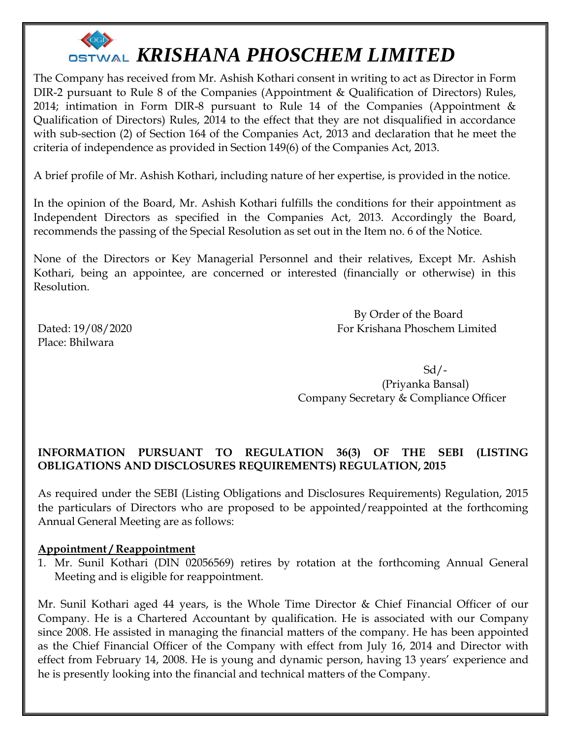

The Company has received from Mr. Ashish Kothari consent in writing to act as Director in Form DIR-2 pursuant to Rule 8 of the Companies (Appointment & Qualification of Directors) Rules, 2014; intimation in Form DIR-8 pursuant to Rule 14 of the Companies (Appointment & Qualification of Directors) Rules, 2014 to the effect that they are not disqualified in accordance with sub-section (2) of Section 164 of the Companies Act, 2013 and declaration that he meet the criteria of independence as provided in Section 149(6) of the Companies Act, 2013.

A brief profile of Mr. Ashish Kothari, including nature of her expertise, is provided in the notice.

In the opinion of the Board, Mr. Ashish Kothari fulfills the conditions for their appointment as Independent Directors as specified in the Companies Act, 2013. Accordingly the Board, recommends the passing of the Special Resolution as set out in the Item no. 6 of the Notice.

None of the Directors or Key Managerial Personnel and their relatives, Except Mr. Ashish Kothari, being an appointee, are concerned or interested (financially or otherwise) in this Resolution.

Place: Bhilwara

 By Order of the Board Dated: 19/08/2020 For Krishana Phoschem Limited

 Sd/- (Priyanka Bansal) Company Secretary & Compliance Officer

### **INFORMATION PURSUANT TO REGULATION 36(3) OF THE SEBI (LISTING OBLIGATIONS AND DISCLOSURES REQUIREMENTS) REGULATION, 2015**

As required under the SEBI (Listing Obligations and Disclosures Requirements) Regulation, 2015 the particulars of Directors who are proposed to be appointed/reappointed at the forthcoming Annual General Meeting are as follows:

#### **Appointment / Reappointment**

1. Mr. Sunil Kothari (DIN 02056569) retires by rotation at the forthcoming Annual General Meeting and is eligible for reappointment.

Mr. Sunil Kothari aged 44 years, is the Whole Time Director & Chief Financial Officer of our Company. He is a Chartered Accountant by qualification. He is associated with our Company since 2008. He assisted in managing the financial matters of the company. He has been appointed as the Chief Financial Officer of the Company with effect from July 16, 2014 and Director with effect from February 14, 2008. He is young and dynamic person, having 13 years' experience and he is presently looking into the financial and technical matters of the Company.